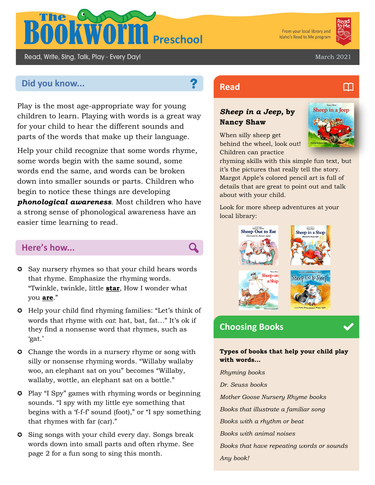

From your local library and Idaho's Read to Me program



m

March 2021

# **Did you know... Read Read**

Read, Write, Sing, Talk, Play - Every Day!

Play is the most age-appropriate way for young children to learn. Playing with words is a great way for your child to hear the different sounds and parts of the words that make up their language.

Help your child recognize that some words rhyme, some words begin with the same sound, some words end the same, and words can be broken down into smaller sounds or parts. Children who begin to notice these things are developing *phonological awareness*. Most children who have a strong sense of phonological awareness have an easier time learning to read.

# **Here's how...**

- Say nursery rhymes so that your child hears words that rhyme. Emphasize the rhyming words. "Twinkle, twinkle, little **star**, How I wonder what you **are**."
- Help your child find rhyming families: "Let's think of words that rhyme with *cat*: hat, bat, fat…" It's ok if they find a nonsense word that rhymes, such as 'gat.'
- **C** Change the words in a nursery rhyme or song with silly or nonsense rhyming words. "Willaby wallaby woo, an elephant sat on you" becomes "Willaby, wallaby, wottle, an elephant sat on a bottle."
- **C** Play "I Spy" games with rhyming words or beginning sounds. "I spy with my little eye something that begins with a 'f-f-f' sound (foot)," or "I spy something that rhymes with far (car)."
- **C** Sing songs with your child every day. Songs break words down into small parts and often rhyme. See page 2 for a fun song to sing this month.

## *Sheep in a Jeep,* **by Nancy Shaw**

When silly sheep get behind the wheel, look out! Children can practice



rhyming skills with this simple fun text, but it's the pictures that really tell the story. Margot Apple's colored pencil art is full of details that are great to point out and talk about with your child.

Look for more sheep adventures at your local library:



# **Choosing Books**

### **Types of books that help your child play with words...**

*Rhyming books Dr. Seuss books Mother Goose Nursery Rhyme books Books that illustrate a familiar song Books with a rhythm or beat Books with animal noises Books that have repeating words or sounds Any book!*